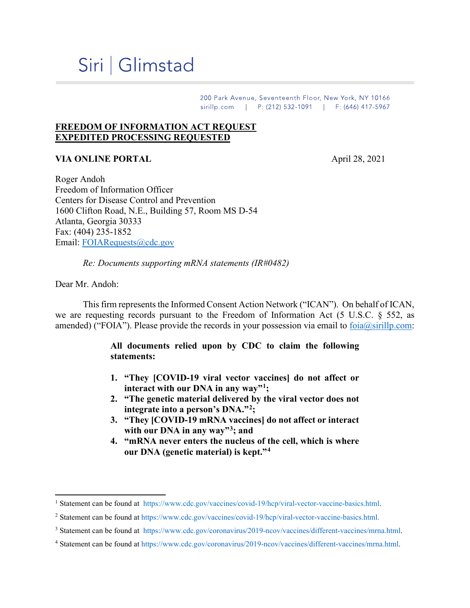# Siri | Glimstad

200 Park Avenue, Seventeenth Floor, New York, NY 10166 sirillp.com | P: (212) 532-1091 | F: (646) 417-5967

### **FREEDOM OF INFORMATION ACT REQUEST EXPEDITED PROCESSING REQUESTED**

## **VIA ONLINE PORTAL** April 28, 2021

Roger Andoh Freedom of Information Officer Centers for Disease Control and Prevention 1600 Clifton Road, N.E., Building 57, Room MS D-54 Atlanta, Georgia 30333 Fax: (404) 235-1852 Email: [FOIARequests@cdc.gov](mailto:FOIARequests@cdc.gov)

*Re: Documents supporting mRNA statements (IR#0482)* 

Dear Mr. Andoh:

This firm represents the Informed Consent Action Network ("ICAN"). On behalf of ICAN, we are requesting records pursuant to the Freedom of Information Act (5 U.S.C. § 552, as amended) ("FOIA"). Please provide the records in your possession via email to  $foia@sirillo.com$ :

#### **All documents relied upon by CDC to claim the following statements:**

- **1. "They [COVID-19 viral vector vaccines] do not affect or interact with our DNA in any way"[1;](#page-0-0)**
- **2. "The genetic material delivered by the viral vector does not integrate into a person's DNA."[2;](#page-0-1)**
- **3. "They [COVID-19 mRNA vaccines] do not affect or interact with our DNA in any way"[3;](#page-0-2) and**
- **4. "mRNA never enters the nucleus of the cell, which is where our DNA (genetic material) is kept."[4](#page-0-3)**

<span id="page-0-0"></span><sup>&</sup>lt;sup>1</sup> Statement can be found at [https://www.cdc.gov/vaccines/covid-19/hcp/viral-vector-vaccine-basics.html.](https://www.cdc.gov/vaccines/covid-19/hcp/viral-vector-vaccine-basics.html)

<span id="page-0-1"></span><sup>2</sup> Statement can be found at [https://www.cdc.gov/vaccines/covid-19/hcp/viral-vector-vaccine-basics.html.](https://www.cdc.gov/vaccines/covid-19/hcp/viral-vector-vaccine-basics.%E2%80%8Chtml)

<span id="page-0-2"></span><sup>3</sup> Statement can be found at [https://www.cdc.gov/coronavirus/2019-ncov/vaccines/different-vaccines/mrna.html.](https://www.cdc.gov/coronavirus/2019-ncov/vaccines/different-vaccines/%E2%80%8Cmrna.html)

<span id="page-0-3"></span><sup>4</sup> Statement can be found at [https://www.cdc.gov/coronavirus/2019-ncov/vaccines/different-vaccines/mrna.html.](https://www.cdc.gov/coronavirus/2019-ncov/vaccines/different-vaccines/mrna.html)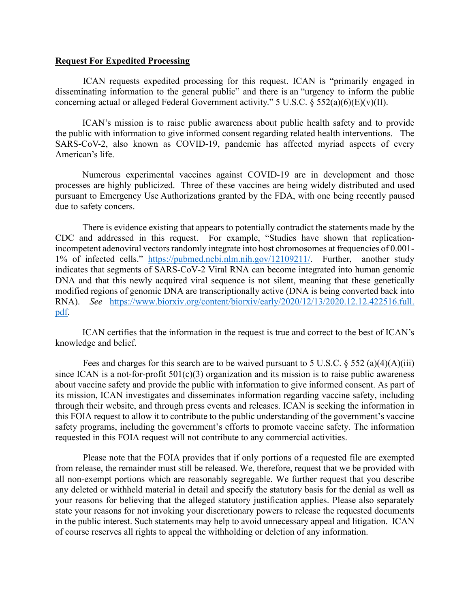#### **Request For Expedited Processing**

ICAN requests expedited processing for this request. ICAN is "primarily engaged in disseminating information to the general public" and there is an "urgency to inform the public concerning actual or alleged Federal Government activity." 5 U.S.C.  $\S$  552(a)(6)(E)(v)(II).

ICAN's mission is to raise public awareness about public health safety and to provide the public with information to give informed consent regarding related health interventions. The SARS-CoV-2, also known as COVID-19, pandemic has affected myriad aspects of every American's life.

Numerous experimental vaccines against COVID-19 are in development and those processes are highly publicized. Three of these vaccines are being widely distributed and used pursuant to Emergency Use Authorizations granted by the FDA, with one being recently paused due to safety concers.

There is evidence existing that appears to potentially contradict the statements made by the CDC and addressed in this request. For example, "Studies have shown that replicationincompetent adenoviral vectors randomly integrate into host chromosomes at frequencies of 0.001-1% of infected cells." [https://pubmed.ncbi.nlm.nih.gov/12109211/.](https://pubmed.ncbi.nlm.nih.gov/12109211/) Further, another study indicates that segments of SARS-CoV-2 Viral RNA can become integrated into human genomic DNA and that this newly acquired viral sequence is not silent, meaning that these genetically modified regions of genomic DNA are transcriptionally active (DNA is being converted back into RNA). *See* [https://www.biorxiv.org/content/biorxiv/early/2020/12/13/2020.12.12.422516.full.](https://www.biorxiv.org/content/biorxiv/early/2020/12/13/2020.12.12.422516%E2%80%8C.full.%E2%80%8Cpdf) [pdf.](https://www.biorxiv.org/content/biorxiv/early/2020/12/13/2020.12.12.422516%E2%80%8C.full.%E2%80%8Cpdf)

ICAN certifies that the information in the request is true and correct to the best of ICAN's knowledge and belief.

Fees and charges for this search are to be waived pursuant to 5 U.S.C.  $\S$  552 (a)(4)(A)(iii) since ICAN is a not-for-profit  $501(c)(3)$  organization and its mission is to raise public awareness about vaccine safety and provide the public with information to give informed consent. As part of its mission, ICAN investigates and disseminates information regarding vaccine safety, including through their website, and through press events and releases. ICAN is seeking the information in this FOIA request to allow it to contribute to the public understanding of the government's vaccine safety programs, including the government's efforts to promote vaccine safety. The information requested in this FOIA request will not contribute to any commercial activities.

Please note that the FOIA provides that if only portions of a requested file are exempted from release, the remainder must still be released. We, therefore, request that we be provided with all non-exempt portions which are reasonably segregable. We further request that you describe any deleted or withheld material in detail and specify the statutory basis for the denial as well as your reasons for believing that the alleged statutory justification applies. Please also separately state your reasons for not invoking your discretionary powers to release the requested documents in the public interest. Such statements may help to avoid unnecessary appeal and litigation. ICAN of course reserves all rights to appeal the withholding or deletion of any information.